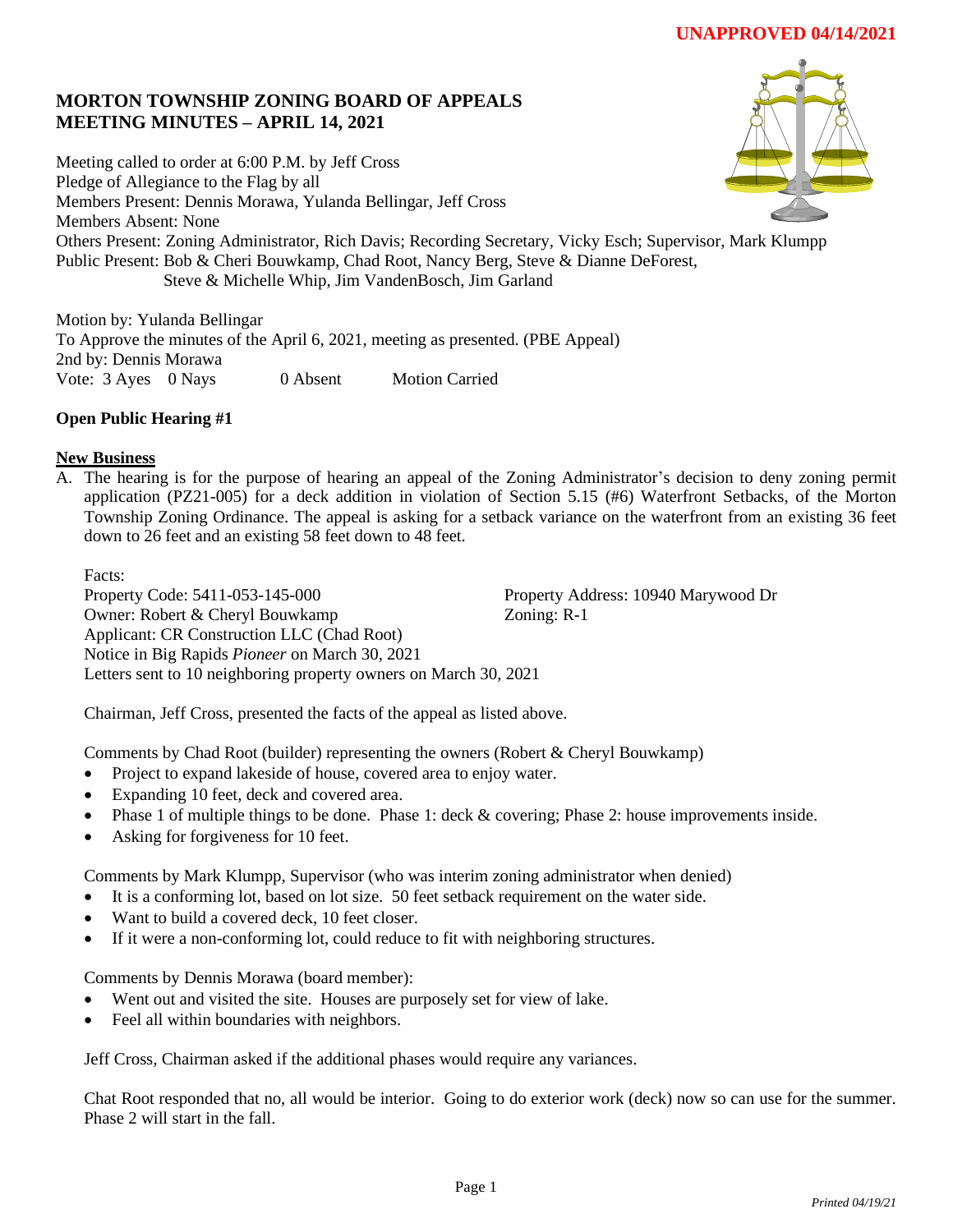# **MORTON TOWNSHIP ZONING BOARD OF APPEALS MEETING MINUTES – APRIL 14, 2021**

Meeting called to order at 6:00 P.M. by Jeff Cross Pledge of Allegiance to the Flag by all Members Present: Dennis Morawa, Yulanda Bellingar, Jeff Cross Members Absent: None Others Present: Zoning Administrator, Rich Davis; Recording Secretary, Vicky Esch; Supervisor, Mark Klumpp Public Present: Bob & Cheri Bouwkamp, Chad Root, Nancy Berg, Steve & Dianne DeForest, Steve & Michelle Whip, Jim VandenBosch, Jim Garland

Motion by: Yulanda Bellingar To Approve the minutes of the April 6, 2021, meeting as presented. (PBE Appeal) 2nd by: Dennis Morawa Vote: 3 Ayes 0 Nays 0 Absent Motion Carried

# **Open Public Hearing #1**

### **New Business**

A. The hearing is for the purpose of hearing an appeal of the Zoning Administrator's decision to deny zoning permit application (PZ21-005) for a deck addition in violation of Section 5.15 (#6) Waterfront Setbacks, of the Morton Township Zoning Ordinance. The appeal is asking for a setback variance on the waterfront from an existing 36 feet down to 26 feet and an existing 58 feet down to 48 feet.

Facts:

Property Code: 5411-053-145-000 Property Address: 10940 Marywood Dr Owner: Robert & Cheryl Bouwkamp Zoning: R-1 Applicant: CR Construction LLC (Chad Root) Notice in Big Rapids *Pioneer* on March 30, 2021 Letters sent to 10 neighboring property owners on March 30, 2021

Chairman, Jeff Cross, presented the facts of the appeal as listed above.

Comments by Chad Root (builder) representing the owners (Robert & Cheryl Bouwkamp)

- Project to expand lakeside of house, covered area to enjoy water.
- Expanding 10 feet, deck and covered area.
- Phase 1 of multiple things to be done. Phase 1: deck & covering; Phase 2: house improvements inside.
- Asking for forgiveness for 10 feet.

Comments by Mark Klumpp, Supervisor (who was interim zoning administrator when denied)

- It is a conforming lot, based on lot size. 50 feet setback requirement on the water side.
- Want to build a covered deck, 10 feet closer.
- If it were a non-conforming lot, could reduce to fit with neighboring structures.

Comments by Dennis Morawa (board member):

- Went out and visited the site. Houses are purposely set for view of lake.
- Feel all within boundaries with neighbors.

Jeff Cross, Chairman asked if the additional phases would require any variances.

Chat Root responded that no, all would be interior. Going to do exterior work (deck) now so can use for the summer. Phase 2 will start in the fall.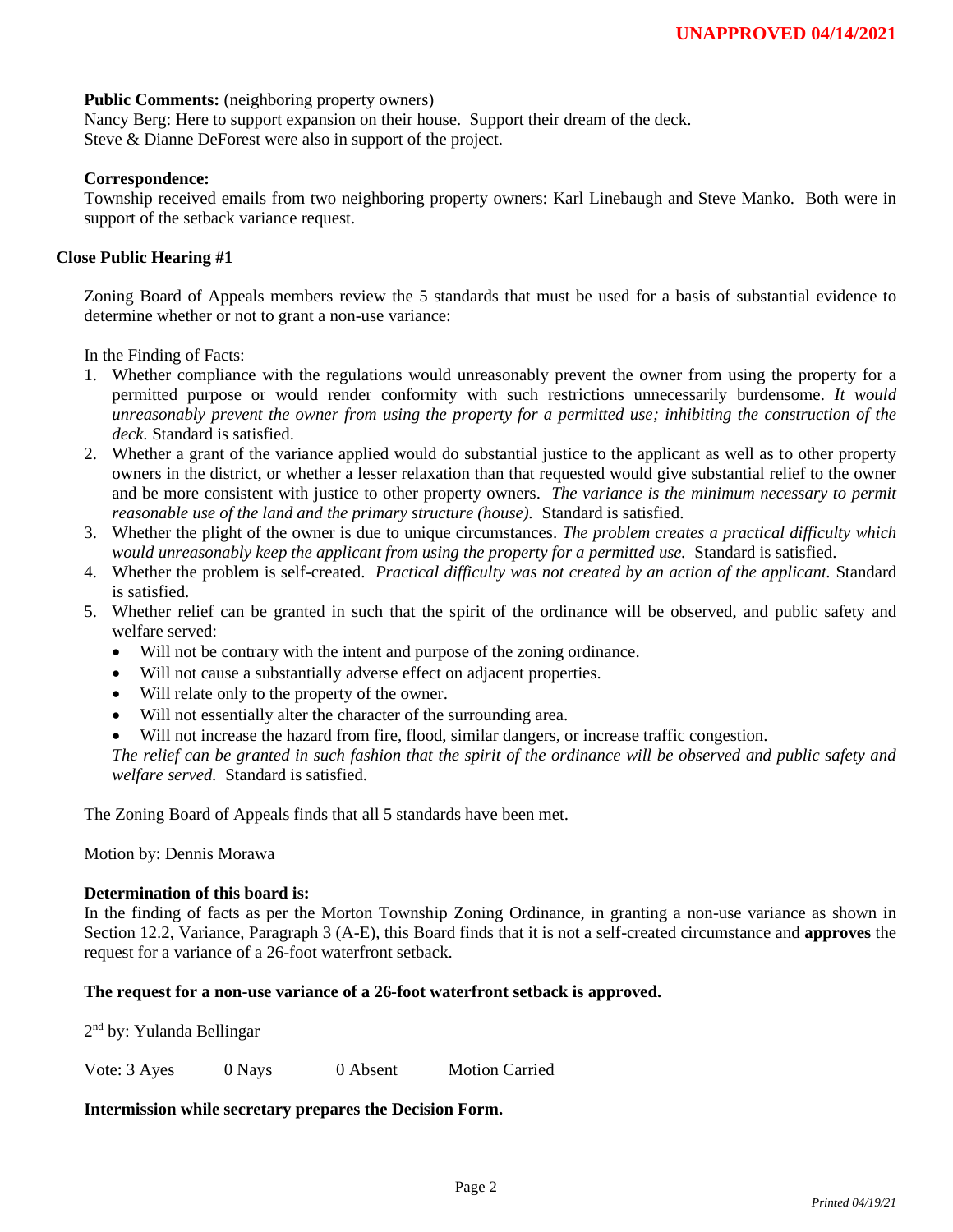### **Public Comments:** (neighboring property owners)

Nancy Berg: Here to support expansion on their house. Support their dream of the deck. Steve & Dianne DeForest were also in support of the project.

#### **Correspondence:**

Township received emails from two neighboring property owners: Karl Linebaugh and Steve Manko. Both were in support of the setback variance request.

### **Close Public Hearing #1**

Zoning Board of Appeals members review the 5 standards that must be used for a basis of substantial evidence to determine whether or not to grant a non-use variance:

In the Finding of Facts:

- 1. Whether compliance with the regulations would unreasonably prevent the owner from using the property for a permitted purpose or would render conformity with such restrictions unnecessarily burdensome. *It would unreasonably prevent the owner from using the property for a permitted use; inhibiting the construction of the deck.* Standard is satisfied.
- 2. Whether a grant of the variance applied would do substantial justice to the applicant as well as to other property owners in the district, or whether a lesser relaxation than that requested would give substantial relief to the owner and be more consistent with justice to other property owners. *The variance is the minimum necessary to permit reasonable use of the land and the primary structure (house).* Standard is satisfied.
- 3. Whether the plight of the owner is due to unique circumstances. *The problem creates a practical difficulty which would unreasonably keep the applicant from using the property for a permitted use.* Standard is satisfied.
- 4. Whether the problem is self-created. *Practical difficulty was not created by an action of the applicant.* Standard is satisfied.
- 5. Whether relief can be granted in such that the spirit of the ordinance will be observed, and public safety and welfare served:
	- Will not be contrary with the intent and purpose of the zoning ordinance.
	- Will not cause a substantially adverse effect on adjacent properties.
	- Will relate only to the property of the owner.
	- Will not essentially alter the character of the surrounding area.
	- Will not increase the hazard from fire, flood, similar dangers, or increase traffic congestion.

The relief can be granted in such fashion that the spirit of the ordinance will be observed and public safety and *welfare served.* Standard is satisfied.

The Zoning Board of Appeals finds that all 5 standards have been met.

Motion by: Dennis Morawa

## **Determination of this board is:**

In the finding of facts as per the Morton Township Zoning Ordinance, in granting a non-use variance as shown in Section 12.2, Variance, Paragraph 3 (A-E), this Board finds that it is not a self-created circumstance and **approves** the request for a variance of a 26-foot waterfront setback.

#### **The request for a non-use variance of a 26-foot waterfront setback is approved.**

2<sup>nd</sup> by: Yulanda Bellingar

Vote: 3 Ayes 0 Nays 0 Absent Motion Carried

# **Intermission while secretary prepares the Decision Form.**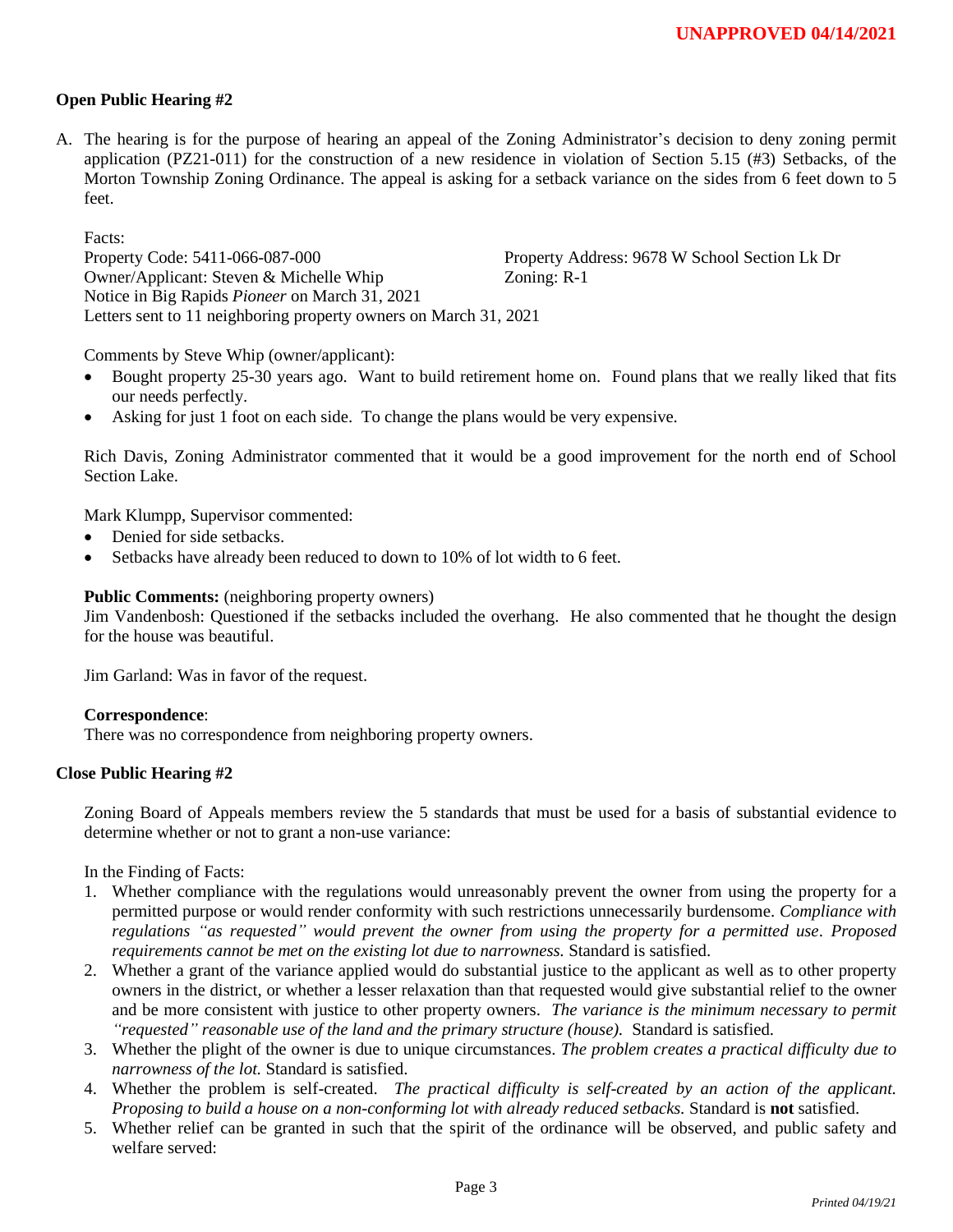## **Open Public Hearing #2**

A. The hearing is for the purpose of hearing an appeal of the Zoning Administrator's decision to deny zoning permit application (PZ21-011) for the construction of a new residence in violation of Section 5.15 (#3) Setbacks, of the Morton Township Zoning Ordinance. The appeal is asking for a setback variance on the sides from 6 feet down to 5 feet.

Facts:

Property Code: 5411-066-087-000 Property Address: 9678 W School Section Lk Dr Owner/Applicant: Steven & Michelle Whip Zoning: R-1 Notice in Big Rapids *Pioneer* on March 31, 2021 Letters sent to 11 neighboring property owners on March 31, 2021

Comments by Steve Whip (owner/applicant):

- Bought property 25-30 years ago. Want to build retirement home on. Found plans that we really liked that fits our needs perfectly.
- Asking for just 1 foot on each side. To change the plans would be very expensive.

Rich Davis, Zoning Administrator commented that it would be a good improvement for the north end of School Section Lake.

Mark Klumpp, Supervisor commented:

- Denied for side setbacks.
- Setbacks have already been reduced to down to 10% of lot width to 6 feet.

#### **Public Comments:** (neighboring property owners)

Jim Vandenbosh: Questioned if the setbacks included the overhang. He also commented that he thought the design for the house was beautiful.

Jim Garland: Was in favor of the request.

#### **Correspondence**:

There was no correspondence from neighboring property owners.

#### **Close Public Hearing #2**

Zoning Board of Appeals members review the 5 standards that must be used for a basis of substantial evidence to determine whether or not to grant a non-use variance:

In the Finding of Facts:

- 1. Whether compliance with the regulations would unreasonably prevent the owner from using the property for a permitted purpose or would render conformity with such restrictions unnecessarily burdensome. *Compliance with regulations "as requested" would prevent the owner from using the property for a permitted use. Proposed requirements cannot be met on the existing lot due to narrowness.* Standard is satisfied.
- 2. Whether a grant of the variance applied would do substantial justice to the applicant as well as to other property owners in the district, or whether a lesser relaxation than that requested would give substantial relief to the owner and be more consistent with justice to other property owners. *The variance is the minimum necessary to permit "requested" reasonable use of the land and the primary structure (house).* Standard is satisfied.
- 3. Whether the plight of the owner is due to unique circumstances. *The problem creates a practical difficulty due to narrowness of the lot.* Standard is satisfied.
- 4. Whether the problem is self-created. *The practical difficulty is self-created by an action of the applicant. Proposing to build a house on a non-conforming lot with already reduced setbacks.* Standard is **not** satisfied.
- 5. Whether relief can be granted in such that the spirit of the ordinance will be observed, and public safety and welfare served: